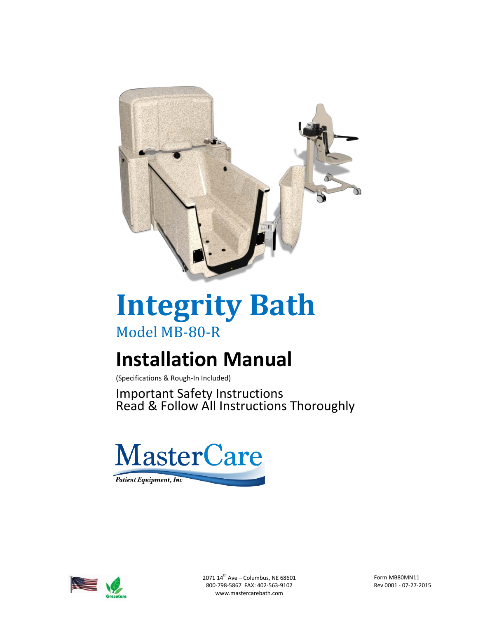

# **Integrity Bath** Model MB-80-R

# **Installation Manual**

(Specifications & Rough-In Included)

Important Safety Instructions Read & Follow All Instructions Thoroughly



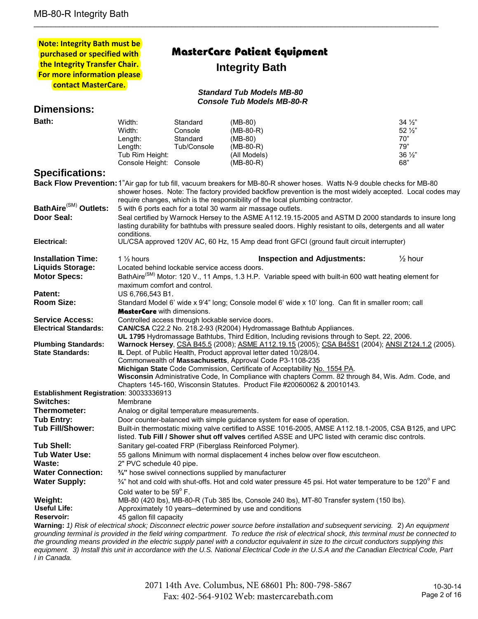| <b>Note: Integrity Bath must be</b>     |                                                                                                                                                                                                               |                                                                           |                                                                                                                                                                                             |  |                        |
|-----------------------------------------|---------------------------------------------------------------------------------------------------------------------------------------------------------------------------------------------------------------|---------------------------------------------------------------------------|---------------------------------------------------------------------------------------------------------------------------------------------------------------------------------------------|--|------------------------|
| purchased or specified with             |                                                                                                                                                                                                               |                                                                           | MasterCare Patient Equipment                                                                                                                                                                |  |                        |
| the Integrity Transfer Chair.           |                                                                                                                                                                                                               | <b>Integrity Bath</b>                                                     |                                                                                                                                                                                             |  |                        |
| For more information please             |                                                                                                                                                                                                               |                                                                           |                                                                                                                                                                                             |  |                        |
| contact MasterCare.                     |                                                                                                                                                                                                               |                                                                           |                                                                                                                                                                                             |  |                        |
| <b>Standard Tub Models MB-80</b>        |                                                                                                                                                                                                               |                                                                           |                                                                                                                                                                                             |  |                        |
|                                         |                                                                                                                                                                                                               |                                                                           | <b>Console Tub Models MB-80-R</b>                                                                                                                                                           |  |                        |
| <b>Dimensions:</b>                      |                                                                                                                                                                                                               |                                                                           |                                                                                                                                                                                             |  |                        |
| Bath:                                   | Width:                                                                                                                                                                                                        | Standard                                                                  | $(MB-80)$                                                                                                                                                                                   |  | $34\frac{1}{2}$        |
|                                         | Width:                                                                                                                                                                                                        | Console                                                                   | $(MB-80-R)$                                                                                                                                                                                 |  | $52\frac{1}{2}$        |
|                                         | Length:                                                                                                                                                                                                       | Standard                                                                  | (MB-80)                                                                                                                                                                                     |  | 70"                    |
|                                         | Length:                                                                                                                                                                                                       | Tub/Console                                                               | $(MB-80-R)$                                                                                                                                                                                 |  | 79"                    |
|                                         | Tub Rim Height:                                                                                                                                                                                               |                                                                           | (All Models)                                                                                                                                                                                |  | $36\frac{1}{2}$<br>68" |
|                                         | Console Height: Console                                                                                                                                                                                       |                                                                           | $(MB-80-R)$                                                                                                                                                                                 |  |                        |
| <b>Specifications:</b>                  |                                                                                                                                                                                                               |                                                                           |                                                                                                                                                                                             |  |                        |
|                                         |                                                                                                                                                                                                               |                                                                           | Back Flow Prevention: 1"Air gap for tub fill, vacuum breakers for MB-80-R shower hoses. Watts N-9 double checks for MB-80                                                                   |  |                        |
|                                         |                                                                                                                                                                                                               |                                                                           | shower hoses. Note: The factory provided backflow prevention is the most widely accepted. Local codes may<br>require changes, which is the responsibility of the local plumbing contractor. |  |                        |
| BathAire <sup>(SM)</sup> Outlets:       |                                                                                                                                                                                                               |                                                                           |                                                                                                                                                                                             |  |                        |
| Door Seal:                              | 5 with 6 ports each for a total 30 warm air massage outlets.<br>Seal certified by Warnock Hersey to the ASME A112.19.15-2005 and ASTM D 2000 standards to insure long                                         |                                                                           |                                                                                                                                                                                             |  |                        |
|                                         | lasting durability for bathtubs with pressure sealed doors. Highly resistant to oils, detergents and all water                                                                                                |                                                                           |                                                                                                                                                                                             |  |                        |
|                                         | conditions.<br>UL/CSA approved 120V AC, 60 Hz, 15 Amp dead front GFCI (ground fault circuit interrupter)                                                                                                      |                                                                           |                                                                                                                                                                                             |  |                        |
| Electrical:                             |                                                                                                                                                                                                               |                                                                           |                                                                                                                                                                                             |  |                        |
| <b>Installation Time:</b>               | 1 $\frac{1}{2}$ hours                                                                                                                                                                                         |                                                                           | <b>Inspection and Adjustments:</b>                                                                                                                                                          |  | $\frac{1}{2}$ hour     |
| <b>Liquids Storage:</b>                 | Located behind lockable service access doors.                                                                                                                                                                 |                                                                           |                                                                                                                                                                                             |  |                        |
| <b>Motor Specs:</b>                     | BathAire <sup>(SM)</sup> Motor: 120 V., 11 Amps, 1.3 H.P. Variable speed with built-in 600 watt heating element for                                                                                           |                                                                           |                                                                                                                                                                                             |  |                        |
|                                         | maximum comfort and control.                                                                                                                                                                                  |                                                                           |                                                                                                                                                                                             |  |                        |
| Patent:                                 | US 6,766,543 B1.                                                                                                                                                                                              |                                                                           |                                                                                                                                                                                             |  |                        |
| <b>Room Size:</b>                       | Standard Model 6' wide x 9'4" long; Console model 6' wide x 10' long. Can fit in smaller room; call                                                                                                           |                                                                           |                                                                                                                                                                                             |  |                        |
|                                         | <b>MasterCare</b> with dimensions.                                                                                                                                                                            |                                                                           |                                                                                                                                                                                             |  |                        |
| <b>Service Access:</b>                  | Controlled access through lockable service doors.                                                                                                                                                             |                                                                           |                                                                                                                                                                                             |  |                        |
| <b>Electrical Standards:</b>            | CAN/CSA C22.2 No. 218.2-93 (R2004) Hydromassage Bathtub Appliances.<br>UL 1795 Hydromassage Bathtubs, Third Edition, Including revisions through to Sept. 22, 2006.                                           |                                                                           |                                                                                                                                                                                             |  |                        |
| <b>Plumbing Standards:</b>              |                                                                                                                                                                                                               |                                                                           | Warnock Hersey, CSA B45.5 (2008); ASME A112.19.15 (2005); CSA B45S1 (2004); ANSI Z124.1.2 (2005).                                                                                           |  |                        |
| <b>State Standards:</b>                 |                                                                                                                                                                                                               |                                                                           | IL Dept. of Public Health, Product approval letter dated 10/28/04.                                                                                                                          |  |                        |
|                                         | Commonwealth of Massachusetts, Approval Code P3-1108-235                                                                                                                                                      |                                                                           |                                                                                                                                                                                             |  |                        |
|                                         |                                                                                                                                                                                                               | Michigan State Code Commission, Certificate of Acceptability No. 1554 PA. |                                                                                                                                                                                             |  |                        |
|                                         | Wisconsin Administrative Code, In Compliance with chapters Comm. 82 through 84, Wis. Adm. Code, and                                                                                                           |                                                                           |                                                                                                                                                                                             |  |                        |
|                                         |                                                                                                                                                                                                               |                                                                           | Chapters 145-160, Wisconsin Statutes. Product File #20060062 & 20010143.                                                                                                                    |  |                        |
| Establishment Registration: 30033336913 |                                                                                                                                                                                                               |                                                                           |                                                                                                                                                                                             |  |                        |
| <b>Switches:</b>                        | Membrane                                                                                                                                                                                                      |                                                                           |                                                                                                                                                                                             |  |                        |
| Thermometer:                            | Analog or digital temperature measurements.                                                                                                                                                                   |                                                                           |                                                                                                                                                                                             |  |                        |
| <b>Tub Entry:</b>                       | Door counter-balanced with simple guidance system for ease of operation.                                                                                                                                      |                                                                           |                                                                                                                                                                                             |  |                        |
| <b>Tub Fill/Shower:</b>                 | Built-in thermostatic mixing valve certified to ASSE 1016-2005, AMSE A112.18.1-2005, CSA B125, and UPC<br>listed. Tub Fill / Shower shut off valves certified ASSE and UPC listed with ceramic disc controls. |                                                                           |                                                                                                                                                                                             |  |                        |
| <b>Tub Shell:</b>                       | Sanitary gel-coated FRP (Fiberglass Reinforced Polymer).                                                                                                                                                      |                                                                           |                                                                                                                                                                                             |  |                        |
| <b>Tub Water Use:</b>                   | 55 gallons Minimum with normal displacement 4 inches below over flow escutcheon.                                                                                                                              |                                                                           |                                                                                                                                                                                             |  |                        |
| Waste:                                  | 2" PVC schedule 40 pipe.                                                                                                                                                                                      |                                                                           |                                                                                                                                                                                             |  |                        |
| <b>Water Connection:</b>                | 3/4" hose swivel connections supplied by manufacturer                                                                                                                                                         |                                                                           |                                                                                                                                                                                             |  |                        |
| <b>Water Supply:</b>                    | $\frac{3}{4}$ " hot and cold with shut-offs. Hot and cold water pressure 45 psi. Hot water temperature to be 120 $\textdegree$ F and                                                                          |                                                                           |                                                                                                                                                                                             |  |                        |
|                                         | Cold water to be 59° F.                                                                                                                                                                                       |                                                                           |                                                                                                                                                                                             |  |                        |
| Weight:                                 | MB-80 (420 lbs), MB-80-R (Tub 385 lbs, Console 240 lbs), MT-80 Transfer system (150 lbs).                                                                                                                     |                                                                           |                                                                                                                                                                                             |  |                        |
| <b>Useful Life:</b>                     | Approximately 10 years--determined by use and conditions                                                                                                                                                      |                                                                           |                                                                                                                                                                                             |  |                        |
| <b>Reservoir:</b>                       | 45 gallon fill capacity                                                                                                                                                                                       |                                                                           |                                                                                                                                                                                             |  |                        |
|                                         |                                                                                                                                                                                                               |                                                                           | Warning: 1) Risk of electrical shock; Disconnect electric power source before installation and subsequent servicing. 2) An equipment                                                        |  |                        |
|                                         |                                                                                                                                                                                                               |                                                                           | grounding terminal is provided in the field wiring compartment. To reduce the risk of electrical shock, this terminal must be connected to                                                  |  |                        |

\_\_\_\_\_\_\_\_\_\_\_\_\_\_\_\_\_\_\_\_\_\_\_\_\_\_\_\_\_\_\_\_\_\_\_\_\_\_\_\_\_\_\_\_\_\_\_\_\_\_\_\_\_\_\_\_\_\_\_\_\_\_\_\_\_\_\_\_\_\_\_\_\_\_\_\_\_\_\_\_\_\_\_\_\_\_\_\_\_\_\_\_\_\_

*the grounding means provided in the electric supply panel with a conductor equivalent in size to the circuit conductors supplying this equipment. 3) Install this unit in accordance with the U.S. National Electrical Code in the U.S.A and the Canadian Electrical Code, Part I in Canada.*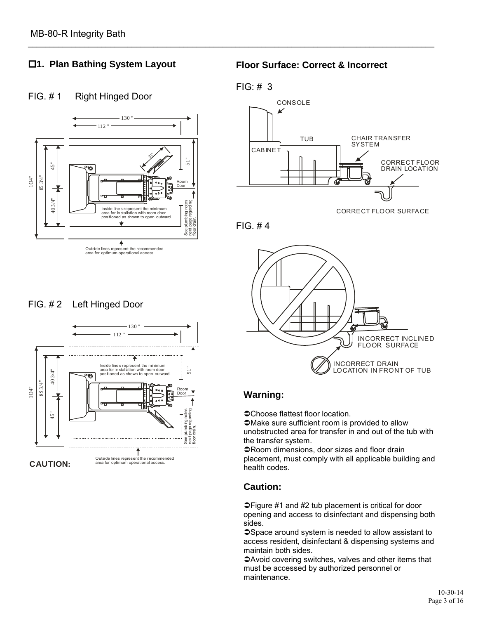# **1. Plan Bathing System Layout**

# FIG. #1 Right Hinged Door



### FIG. # 2 Left Hinged Door



#### **Floor Surface: Correct & Incorrect**

#### FIG: # 3

\_\_\_\_\_\_\_\_\_\_\_\_\_\_\_\_\_\_\_\_\_\_\_\_\_\_\_\_\_\_\_\_\_\_\_\_\_\_\_\_\_\_\_\_\_\_\_\_\_\_\_\_\_\_\_\_\_\_\_\_\_\_\_\_\_\_\_\_\_\_\_\_\_\_\_\_\_\_\_\_\_\_\_\_\_\_\_\_\_\_\_\_\_\_



FIG. # 4



#### **Warning:**

Choose flattest floor location.

Make sure sufficient room is provided to allow unobstructed area for transfer in and out of the tub with the transfer system.

Room dimensions, door sizes and floor drain placement, must comply with all applicable building and health codes.

# **Caution:**

Figure #1 and #2 tub placement is critical for door opening and access to disinfectant and dispensing both sides.

Space around system is needed to allow assistant to access resident, disinfectant & dispensing systems and maintain both sides.

Avoid covering switches, valves and other items that must be accessed by authorized personnel or maintenance.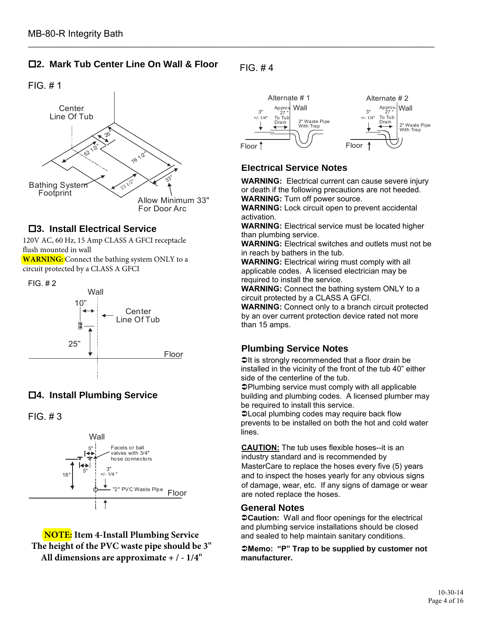#### **2. Mark Tub Center Line On Wall & Floor**



#### **3. Install Electrical Service**

120V AC, 60 Hz, 15 Amp CLASS A GFCI receptacle flush mounted in wall **WARNING:** Connect the bathing system ONLY to a circuit protected by a CLASS A GFCI

FIG. # 2



# **4. Install Plumbing Service**

FIG. # 3



**NOTE: Item 4-Install Plumbing Service The height of the PVC waste pipe should be 3" All dimensions are approximate + / - 1/4"**

 $FIG. #4$ 

\_\_\_\_\_\_\_\_\_\_\_\_\_\_\_\_\_\_\_\_\_\_\_\_\_\_\_\_\_\_\_\_\_\_\_\_\_\_\_\_\_\_\_\_\_\_\_\_\_\_\_\_\_\_\_\_\_\_\_\_\_\_\_\_\_\_\_\_\_\_\_\_\_\_\_\_\_\_\_\_\_\_\_\_\_\_\_\_\_\_\_\_\_\_



#### **Electrical Service Notes**

**WARNING:** Electrical current can cause severe injury or death if the following precautions are not heeded. **WARNING:** Turn off power source.

**WARNING:** Lock circuit open to prevent accidental activation.

**WARNING:** Electrical service must be located higher than plumbing service.

**WARNING:** Electrical switches and outlets must not be in reach by bathers in the tub.

**WARNING:** Electrical wiring must comply with all applicable codes. A licensed electrician may be required to install the service.

**WARNING:** Connect the bathing system ONLY to a circuit protected by a CLASS A GFCI.

**WARNING:** Connect only to a branch circuit protected by an over current protection device rated not more than 15 amps.

#### **Plumbing Service Notes**

 $\triangle$ It is strongly recommended that a floor drain be installed in the vicinity of the front of the tub 40" either side of the centerline of the tub.

Plumbing service must comply with all applicable building and plumbing codes. A licensed plumber may be required to install this service.

Local plumbing codes may require back flow prevents to be installed on both the hot and cold water lines.

**CAUTION:** The tub uses flexible hoses--it is an industry standard and is recommended by MasterCare to replace the hoses every five (5) years and to inspect the hoses yearly for any obvious signs of damage, wear, etc. If any signs of damage or wear are noted replace the hoses.

#### **General Notes**

**Caution:** Wall and floor openings for the electrical and plumbing service installations should be closed and sealed to help maintain sanitary conditions.

**Memo: "P" Trap to be supplied by customer not manufacturer.**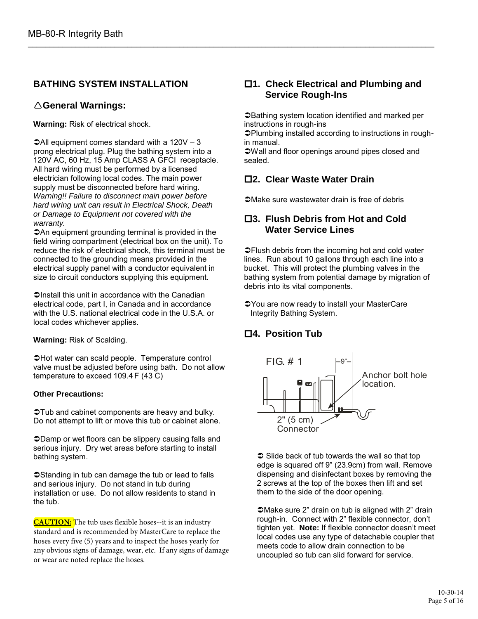#### **BATHING SYSTEM INSTALLATION**

#### **General Warnings:**

**Warning:** Risk of electrical shock.

 $\triangle$ All equipment comes standard with a 120V – 3 prong electrical plug. Plug the bathing system into a 120V AC, 60 Hz, 15 Amp CLASS A GFCI receptacle. All hard wiring must be performed by a licensed electrician following local codes. The main power supply must be disconnected before hard wiring. *Warning!! Failure to disconnect main power before hard wiring unit can result in Electrical Shock, Death or Damage to Equipment not covered with the warranty.* 

An equipment grounding terminal is provided in the field wiring compartment (electrical box on the unit). To reduce the risk of electrical shock, this terminal must be connected to the grounding means provided in the electrical supply panel with a conductor equivalent in size to circuit conductors supplying this equipment.

 $\supset$ Install this unit in accordance with the Canadian electrical code, part I, in Canada and in accordance with the U.S. national electrical code in the U.S.A. or local codes whichever applies.

**Warning:** Risk of Scalding.

 $\triangle$ Hot water can scald people. Temperature control valve must be adjusted before using bath. Do not allow temperature to exceed 109.4 F (43 C)

#### **Other Precautions:**

 $\Im$ Tub and cabinet components are heavy and bulky. Do not attempt to lift or move this tub or cabinet alone.

Damp or wet floors can be slippery causing falls and serious injury. Dry wet areas before starting to install bathing system.

Standing in tub can damage the tub or lead to falls and serious injury. Do not stand in tub during installation or use. Do not allow residents to stand in the tub.

**CAUTION:** The tub uses flexible hoses--it is an industry standard and is recommended by MasterCare to replace the hoses every five (5) years and to inspect the hoses yearly for any obvious signs of damage, wear, etc. If any signs of damage or wear are noted replace the hoses.

#### **1. Check Electrical and Plumbing and Service Rough-Ins**

Bathing system location identified and marked per instructions in rough-ins

Plumbing installed according to instructions in roughin manual.

Wall and floor openings around pipes closed and sealed.

#### **2. Clear Waste Water Drain**

\_\_\_\_\_\_\_\_\_\_\_\_\_\_\_\_\_\_\_\_\_\_\_\_\_\_\_\_\_\_\_\_\_\_\_\_\_\_\_\_\_\_\_\_\_\_\_\_\_\_\_\_\_\_\_\_\_\_\_\_\_\_\_\_\_\_\_\_\_\_\_\_\_\_\_\_\_\_\_\_\_\_\_\_\_\_\_\_\_\_\_\_\_\_

Make sure wastewater drain is free of debris

#### **3. Flush Debris from Hot and Cold Water Service Lines**

**Channel System System** from the incoming hot and cold water lines. Run about 10 gallons through each line into a bucket. This will protect the plumbing valves in the bathing system from potential damage by migration of debris into its vital components.

You are now ready to install your MasterCare Integrity Bathing System.

#### **4. Position Tub**



 $\supset$  Slide back of tub towards the wall so that top edge is squared off 9" (23.9cm) from wall. Remove dispensing and disinfectant boxes by removing the 2 screws at the top of the boxes then lift and set them to the side of the door opening.

**⊃Make sure 2" drain on tub is aligned with 2" drain** rough-in. Connect with 2" flexible connector, don't tighten yet. **Note:** If flexible connector doesn't meet local codes use any type of detachable coupler that meets code to allow drain connection to be uncoupled so tub can slid forward for service.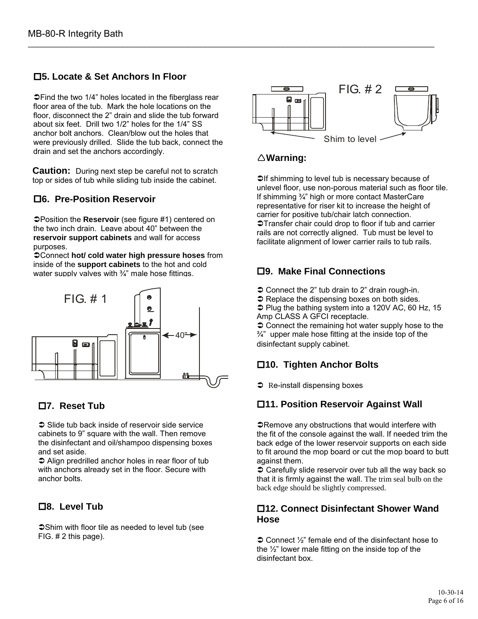### **5. Locate & Set Anchors In Floor**

**⊃Find the two 1/4" holes located in the fiberglass rear** floor area of the tub. Mark the hole locations on the floor, disconnect the 2" drain and slide the tub forward about six feet. Drill two 1/2" holes for the 1/4" SS anchor bolt anchors. Clean/blow out the holes that were previously drilled. Slide the tub back, connect the drain and set the anchors accordingly.

**Caution:** During next step be careful not to scratch top or sides of tub while sliding tub inside the cabinet.

#### **6. Pre-Position Reservoir**

Position the **Reservoir** (see figure #1) centered on the two inch drain. Leave about 40" between the **reservoir support cabinets** and wall for access purposes.

Connect **hot/ cold water high pressure hoses** from inside of the **support cabinets** to the hot and cold water supply valves with ¼" male hose fittings.



#### **7. Reset Tub**

 $\supset$  Slide tub back inside of reservoir side service cabinets to 9" square with the wall. Then remove the disinfectant and oil/shampoo dispensing boxes and set aside.

 $\supset$  Align predrilled anchor holes in rear floor of tub with anchors already set in the floor. Secure with anchor bolts.

#### **8. Level Tub**

Shim with floor tile as needed to level tub (see FIG. # 2 this page).



### **Warning:**

\_\_\_\_\_\_\_\_\_\_\_\_\_\_\_\_\_\_\_\_\_\_\_\_\_\_\_\_\_\_\_\_\_\_\_\_\_\_\_\_\_\_\_\_\_\_\_\_\_\_\_\_\_\_\_\_\_\_\_\_\_\_\_\_\_\_\_\_\_\_\_\_\_\_\_\_\_\_\_\_\_\_\_\_\_\_\_\_\_\_\_\_\_\_

 $\supset$  If shimming to level tub is necessary because of unlevel floor, use non-porous material such as floor tile. If shimming ¾" high or more contact MasterCare representative for riser kit to increase the height of carrier for positive tub/chair latch connection. Transfer chair could drop to floor if tub and carrier rails are not correctly aligned. Tub must be level to facilitate alignment of lower carrier rails to tub rails.

#### **9. Make Final Connections**

- $\supset$  Connect the 2" tub drain to 2" drain rough-in.
- $\supset$  Replace the dispensing boxes on both sides.

 $\supset$  Plug the bathing system into a 120V AC, 60 Hz, 15 Amp CLASS A GFCI receptacle.

 $\supset$  Connect the remaining hot water supply hose to the  $\frac{3}{4}$ " upper male hose fitting at the inside top of the disinfectant supply cabinet.

# **10. Tighten Anchor Bolts**

 $\supset$  Re-install dispensing boxes

#### **11. Position Reservoir Against Wall**

**ORemove any obstructions that would interfere with** the fit of the console against the wall. If needed trim the back edge of the lower reservoir supports on each side to fit around the mop board or cut the mop board to butt against them.

 $\supset$  Carefully slide reservoir over tub all the way back so that it is firmly against the wall. The trim seal bulb on the back edge should be slightly compressed.

#### **12. Connect Disinfectant Shower Wand Hose**

 $\supset$  Connect  $\frac{1}{2}$ " female end of the disinfectant hose to the ½" lower male fitting on the inside top of the disinfectant box.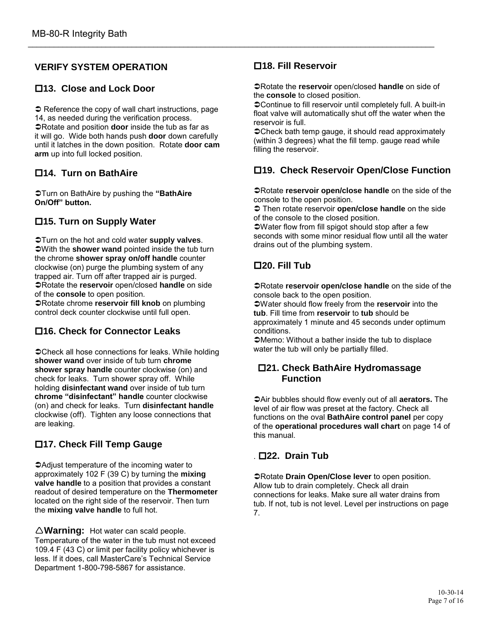#### **VERIFY SYSTEM OPERATION**

#### **13. Close and Lock Door**

 $\supset$  Reference the copy of wall chart instructions, page 14, as needed during the verification process. Rotate and position **door** inside the tub as far as it will go. Wide both hands push **door** down carefully until it latches in the down position. Rotate **door cam arm** up into full locked position.

#### **14. Turn on BathAire**

Turn on BathAire by pushing the **"BathAire On/Off" button.**

#### **15. Turn on Supply Water**

Turn on the hot and cold water **supply valves**. With the **shower wand** pointed inside the tub turn the chrome **shower spray on/off handle** counter clockwise (on) purge the plumbing system of any trapped air. Turn off after trapped air is purged. Rotate the **reservoir** open/closed **handle** on side of the **console** to open position.

Rotate chrome **reservoir fill knob** on plumbing control deck counter clockwise until full open.

#### **16. Check for Connector Leaks**

Check all hose connections for leaks. While holding **shower wand** over inside of tub turn **chrome shower spray handle** counter clockwise (on) and check for leaks. Turn shower spray off. While holding **disinfectant wand** over inside of tub turn **chrome "disinfectant" handle** counter clockwise (on) and check for leaks. Turn **disinfectant handle** clockwise (off). Tighten any loose connections that are leaking.

#### **17. Check Fill Temp Gauge**

Adjust temperature of the incoming water to approximately 102 F (39 C) by turning the **mixing valve handle** to a position that provides a constant readout of desired temperature on the **Thermometer** located on the right side of the reservoir. Then turn the **mixing valve handle** to full hot.

**Warning:** Hot water can scald people. Temperature of the water in the tub must not exceed 109.4 F (43 C) or limit per facility policy whichever is less. If it does, call MasterCare's Technical Service Department 1-800-798-5867 for assistance.

#### **18. Fill Reservoir**

\_\_\_\_\_\_\_\_\_\_\_\_\_\_\_\_\_\_\_\_\_\_\_\_\_\_\_\_\_\_\_\_\_\_\_\_\_\_\_\_\_\_\_\_\_\_\_\_\_\_\_\_\_\_\_\_\_\_\_\_\_\_\_\_\_\_\_\_\_\_\_\_\_\_\_\_\_\_\_\_\_\_\_\_\_\_\_\_\_\_\_\_\_\_

Rotate the **reservoir** open/closed **handle** on side of the **console** to closed position.

Continue to fill reservoir until completely full. A built-in float valve will automatically shut off the water when the reservoir is full.

Check bath temp gauge, it should read approximately (within 3 degrees) what the fill temp. gauge read while filling the reservoir.

#### **19. Check Reservoir Open/Close Function**

Rotate **reservoir open/close handle** on the side of the console to the open position.

 Then rotate reservoir **open/close handle** on the side of the console to the closed position.

Water flow from fill spigot should stop after a few seconds with some minor residual flow until all the water drains out of the plumbing system.

#### **20. Fill Tub**

Rotate **reservoir open/close handle** on the side of the console back to the open position.

Water should flow freely from the **reservoir** into the **tub**. Fill time from **reservoir** to **tub** should be approximately 1 minute and 45 seconds under optimum conditions.

Memo: Without a bather inside the tub to displace water the tub will only be partially filled.

#### **21. Check BathAire Hydromassage Function**

Air bubbles should flow evenly out of all **aerators.** The level of air flow was preset at the factory. Check all functions on the oval **BathAire control panel** per copy of the **operational procedures wall chart** on page 14 of this manual.

#### . **22. Drain Tub**

Rotate **Drain Open/Close lever** to open position. Allow tub to drain completely. Check all drain connections for leaks. Make sure all water drains from tub. If not, tub is not level. Level per instructions on page 7.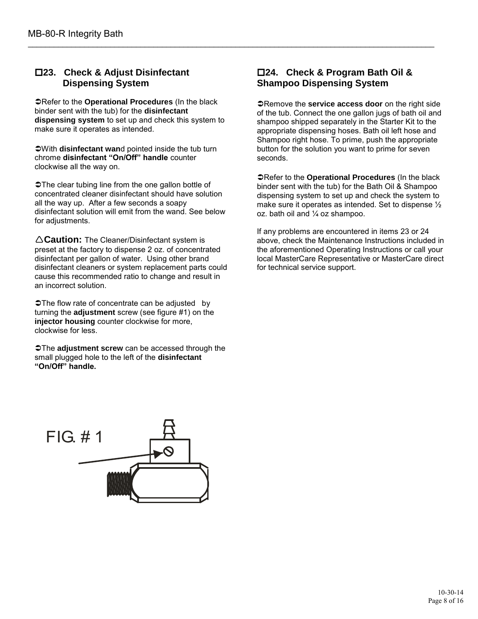#### **23. Check & Adjust Disinfectant Dispensing System**

Refer to the **Operational Procedures** (In the black binder sent with the tub) for the **disinfectant dispensing system** to set up and check this system to make sure it operates as intended.

With **disinfectant wan**d pointed inside the tub turn chrome **disinfectant "On/Off" handle** counter clockwise all the way on.

The clear tubing line from the one gallon bottle of concentrated cleaner disinfectant should have solution all the way up. After a few seconds a soapy disinfectant solution will emit from the wand. See below for adjustments.

**Caution:** The Cleaner/Disinfectant system is preset at the factory to dispense 2 oz. of concentrated disinfectant per gallon of water. Using other brand disinfectant cleaners or system replacement parts could cause this recommended ratio to change and result in an incorrect solution.

**⊃The flow rate of concentrate can be adjusted by** turning the **adjustment** screw (see figure #1) on the **injector housing** counter clockwise for more, clockwise for less.

The **adjustment screw** can be accessed through the small plugged hole to the left of the **disinfectant "On/Off" handle.**



#### **24. Check & Program Bath Oil & Shampoo Dispensing System**

\_\_\_\_\_\_\_\_\_\_\_\_\_\_\_\_\_\_\_\_\_\_\_\_\_\_\_\_\_\_\_\_\_\_\_\_\_\_\_\_\_\_\_\_\_\_\_\_\_\_\_\_\_\_\_\_\_\_\_\_\_\_\_\_\_\_\_\_\_\_\_\_\_\_\_\_\_\_\_\_\_\_\_\_\_\_\_\_\_\_\_\_\_\_

**Changeler 3 Service access door** on the right side of the tub. Connect the one gallon jugs of bath oil and shampoo shipped separately in the Starter Kit to the appropriate dispensing hoses. Bath oil left hose and Shampoo right hose. To prime, push the appropriate button for the solution you want to prime for seven seconds.

Refer to the **Operational Procedures** (In the black binder sent with the tub) for the Bath Oil & Shampoo dispensing system to set up and check the system to make sure it operates as intended. Set to dispense ½ oz. bath oil and ¼ oz shampoo.

If any problems are encountered in items 23 or 24 above, check the Maintenance Instructions included in the aforementioned Operating Instructions or call your local MasterCare Representative or MasterCare direct for technical service support.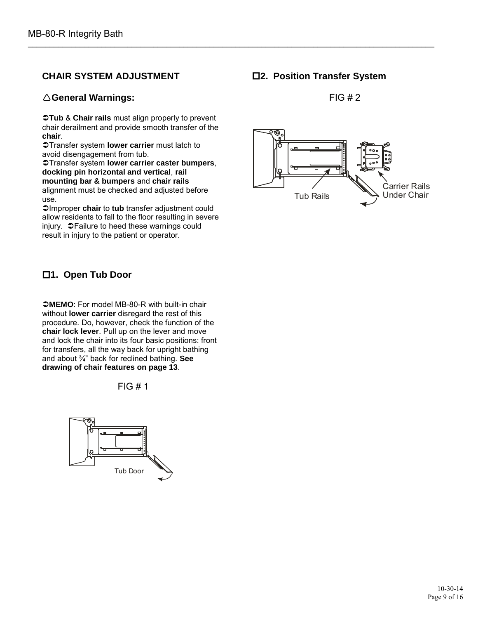#### **CHAIR SYSTEM ADJUSTMENT**

#### **General Warnings:**

**Tub** & **Chair rails** must align properly to prevent chair derailment and provide smooth transfer of the **chair**.

Transfer system **lower carrier** must latch to avoid disengagement from tub.

Transfer system **lower carrier caster bumpers**, **docking pin horizontal and vertical**, **rail mounting bar & bumpers** and **chair rails** alignment must be checked and adjusted before use.

Improper **chair** to **tub** transfer adjustment could allow residents to fall to the floor resulting in severe injury.  $\bullet$  Failure to heed these warnings could result in injury to the patient or operator.

### **1. Open Tub Door**

**MEMO**: For model MB-80-R with built-in chair without **lower carrier** disregard the rest of this procedure. Do, however, check the function of the **chair lock lever**. Pull up on the lever and move and lock the chair into its four basic positions: front for transfers, all the way back for upright bathing and about ¾" back for reclined bathing. **See drawing of chair features on page 13**.

 $FIG#1$ 



**2. Position Transfer System**

\_\_\_\_\_\_\_\_\_\_\_\_\_\_\_\_\_\_\_\_\_\_\_\_\_\_\_\_\_\_\_\_\_\_\_\_\_\_\_\_\_\_\_\_\_\_\_\_\_\_\_\_\_\_\_\_\_\_\_\_\_\_\_\_\_\_\_\_\_\_\_\_\_\_\_\_\_\_\_\_\_\_\_\_\_\_\_\_\_\_\_\_\_\_

 $FIG#2$ 

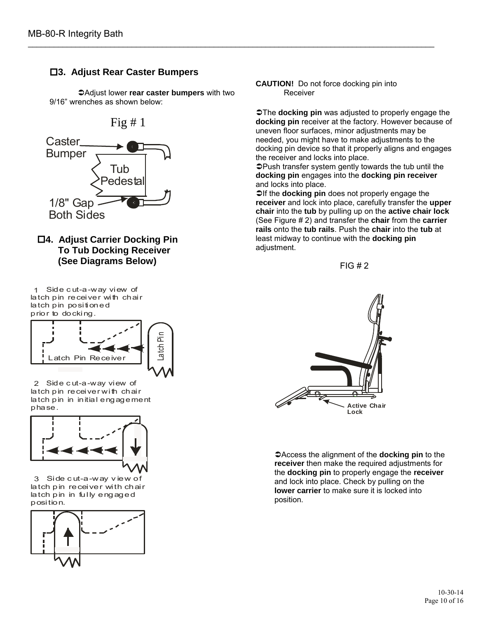#### **3. Adjust Rear Caster Bumpers**

Adjust lower **rear caster bumpers** with two 9/16" wrenches as shown below:

\_\_\_\_\_\_\_\_\_\_\_\_\_\_\_\_\_\_\_\_\_\_\_\_\_\_\_\_\_\_\_\_\_\_\_\_\_\_\_\_\_\_\_\_\_\_\_\_\_\_\_\_\_\_\_\_\_\_\_\_\_\_\_\_\_\_\_\_\_\_\_\_\_\_\_\_\_\_\_\_\_\_\_\_\_\_\_\_\_\_\_\_\_\_

Fig  $# 1$ 



**4. Adjust Carrier Docking Pin To Tub Docking Receiver (See Diagrams Below)**

 Side c ut-a-way view of 1 latch pin receiver with chair latch pin positioned prior to docking.



2 Side cut-a-way view of latch pin receiver with chair latch pin in initial engagement phase.



3 Side cut-a-way view of latch pin receiver with chair latch pin in fully engaged position.



**CAUTION!** Do not force docking pin into Receiver

The **docking pin** was adjusted to properly engage the **docking pin** receiver at the factory. However because of uneven floor surfaces, minor adjustments may be needed, you might have to make adjustments to the docking pin device so that it properly aligns and engages the receiver and locks into place.

Push transfer system gently towards the tub until the **docking pin** engages into the **docking pin receiver** and locks into place.

 $\supset$  If the **docking pin** does not properly engage the **receiver** and lock into place, carefully transfer the **upper chair** into the **tub** by pulling up on the **active chair lock** (See Figure # 2) and transfer the **chair** from the **carrier rails** onto the **tub rails**. Push the **chair** into the **tub** at least midway to continue with the **docking pin** adjustment.





Access the alignment of the **docking pin** to the **receiver** then make the required adjustments for the **docking pin** to properly engage the **receiver** and lock into place. Check by pulling on the **lower carrier** to make sure it is locked into position.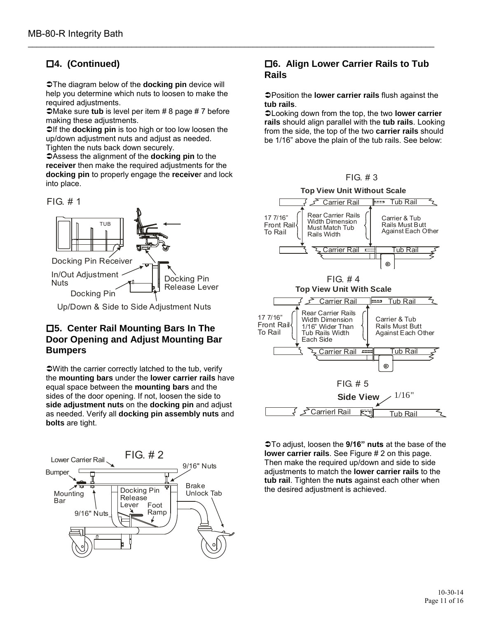# **4. (Continued)**

**The diagram below of the <b>docking pin** device will help you determine which nuts to loosen to make the required adjustments.

\_\_\_\_\_\_\_\_\_\_\_\_\_\_\_\_\_\_\_\_\_\_\_\_\_\_\_\_\_\_\_\_\_\_\_\_\_\_\_\_\_\_\_\_\_\_\_\_\_\_\_\_\_\_\_\_\_\_\_\_\_\_\_\_\_\_\_\_\_\_\_\_\_\_\_\_\_\_\_\_\_\_\_\_\_\_\_\_\_\_\_\_\_\_

**■Make sure tub** is level per item # 8 page # 7 before making these adjustments.

 $\supset$  If the **docking pin** is too high or too low loosen the up/down adjustment nuts and adjust as needed.

Tighten the nuts back down securely.

Assess the alignment of the **docking pin** to the **receiver** then make the required adjustments for the **docking pin** to properly engage the **receive**r and lock into place.

FIG. # 1



Up/Down & Side to Side Adjustment Nuts

#### **5. Center Rail Mounting Bars In The Door Opening and Adjust Mounting Bar Bumpers**

With the carrier correctly latched to the tub, verify the **mounting bars** under the **lower carrier rails** have equal space between the **mounting bars** and the sides of the door opening. If not, loosen the side to **side adjustment nuts** on the **docking pin** and adjust as needed. Verify all **docking pin assembly nuts** and **bolts** are tight.



#### **6. Align Lower Carrier Rails to Tub Rails**

Position the **lower carrier rails** flush against the **tub rails**.

Looking down from the top, the two **lower carrier rails** should align parallel with the **tub rails**. Looking from the side, the top of the two **carrier rails** should be 1/16" above the plain of the tub rails. See below:





To adjust, loosen the **9/16" nuts** at the base of the **lower carrier rails**. See Figure # 2 on this page. Then make the required up/down and side to side adjustments to match the **lower carrier rails** to the **tub rail**. Tighten the **nuts** against each other when the desired adjustment is achieved.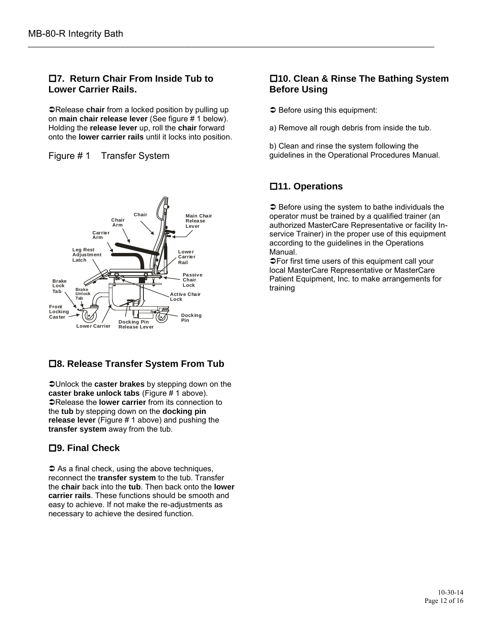#### **7. Return Chair From Inside Tub to Lower Carrier Rails.**

**PRelease chair** from a locked position by pulling up on **main chair release lever** (See figure # 1 below). Holding the **release lever** up, roll the **chair** forward onto the **lower carrier rails** until it locks into position.





#### **8. Release Transfer System From Tub**

Unlock the **caster brakes** by stepping down on the **caster brake unlock tabs** (Figure # 1 above). **PRelease the lower carrier** from its connection to the **tub** by stepping down on the **docking pin release lever** (Figure # 1 above) and pushing the **transfer system** away from the tub.

#### **9. Final Check**

 $\supset$  As a final check, using the above techniques, reconnect the **transfer system** to the tub. Transfer the **chair** back into the **tub**. Then back onto the **lower carrier rails**. These functions should be smooth and easy to achieve. If not make the re-adjustments as necessary to achieve the desired function.

#### **10. Clean & Rinse The Bathing System Before Using**

- $\supset$  Before using this equipment:
- a) Remove all rough debris from inside the tub.
- b) Clean and rinse the system following the guidelines in the Operational Procedures Manual.

# **11. Operations**

\_\_\_\_\_\_\_\_\_\_\_\_\_\_\_\_\_\_\_\_\_\_\_\_\_\_\_\_\_\_\_\_\_\_\_\_\_\_\_\_\_\_\_\_\_\_\_\_\_\_\_\_\_\_\_\_\_\_\_\_\_\_\_\_\_\_\_\_\_\_\_\_\_\_\_\_\_\_\_\_\_\_\_\_\_\_\_\_\_\_\_\_\_\_

 $\supset$  Before using the system to bathe individuals the operator must be trained by a qualified trainer (an authorized MasterCare Representative or facility Inservice Trainer) in the proper use of this equipment according to the guidelines in the Operations Manual.

For first time users of this equipment call your local MasterCare Representative or MasterCare Patient Equipment, Inc. to make arrangements for training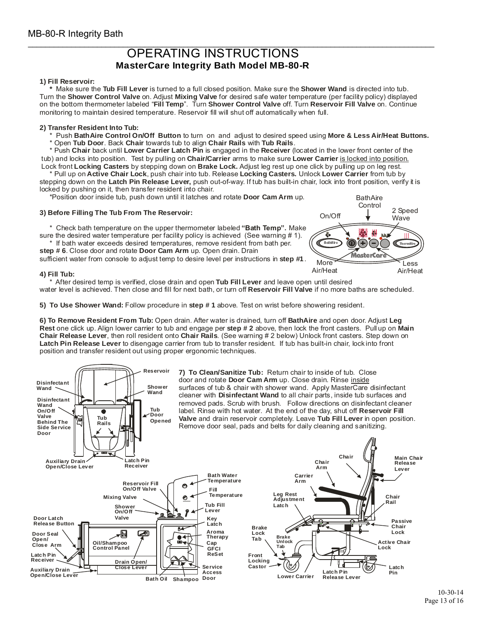#### \_\_\_\_\_\_\_\_\_\_\_\_\_\_\_\_\_\_\_\_\_\_\_\_\_\_\_\_\_\_\_\_\_\_\_\_\_\_\_\_\_\_\_\_\_\_\_\_\_\_\_\_\_\_\_\_\_\_\_\_\_\_\_\_\_\_\_\_\_\_\_\_\_\_\_\_\_\_\_\_\_\_\_\_\_\_\_\_\_\_\_\_\_\_ OPERATING INSTRUCTIONS **MasterCare Integrity Bath Model MB-80-R**

#### **1) Fill Reservoir:**

**EXECTIONS<br>
<b>Tub Fill Reservoir:**<br> **Turn the Shower Control Valve** on. Adjust Mixing Valve for desired safe water temperature (per facility policy) displayed<br>
Turn the Shower Control Valve on. Adjust Mixing Valve for desir **Shower Care Integrity Figure 2018**<br>**Master Care Integrity Figure 11:**<br>Shower Control Valve on Adjust Mixing Valve<br>Brower Control Valve on Adjust Mixing Valve<br>Mixing Valve thermometer labeled "Fill Temp". Turn Shower **Filter Shower Integrity Bath Model MB-80-R**<br>**Filter Shower Wand is directed Shower Wand is directed Adjust Mixing Valve for desired safe water temperature (per facility polity Fill Temp". Turn Shower Control Valve off. Tu** <sup>2</sup> Make sure the **Tub Fill Lever** is turned to a full closed position. Make sure the **Shower Wand** is directed into tub.<br>
Turn the **Shower Control Valve** on. Adjust **Mixing Valve** for desired safe water temperature (per f Tub Door Carrier Labeled "Fill Temp". Turn Shower Control Valve off.<br>
to maintain desired temperature. Reservoir fill will shut off automaticall<br> **Tub BathAire Control On/Off Button** to turn on and adjust to desired sp<br> **T** Make sure the Tub Fill Lever is turned to a full closed position. Make sure the Shower Wand is directed into tub. **MasterCare Integrity Bath Model MB-80-R**<br> **1) Fill Reservoir:**<br>
\* Make sure the Tub Fill Lever is turned to a full closed position. Make sure the Shower Wand is directed into tub.<br>
Turn the Shower Control Valve on. Adjust monitoring to maintain desired temperature. Reservoir fill will shut off automatically when full. In the **Shower Control Valve** on. Adjust Mixing Valve for desired safe water temperature<br>the bottom thermometer labeled "Fill Temp". Turn **Shower Control Valve** off. Turn Reser<br>nitoring to maintain desired temperature. Res the bottom thermometer labeled "Fill Temp". Turn Shower Control Valve off.<br>"<br>"nitoring to maintain desired temperature. Reservoir fill will shut off automatically<br>"<br>" Push BathAire Control On/Off Button to turn on and adju

to maintain desired temperature. Reservoir fill will shut off automatical<br>to maintain desired temperature. Reservoir fill will shut off automatical<br>**Chair Aire Control On/Off Button** to turn on and adjust to desired s<br>**Tub** tub) and locks into position. Test by pulling on Chair/Carrier arms to make sure Lower Carrier is locked into position. Lock front Locking Casters by stepping down on Brake Lock. Adjust leg rest up one click by pulling up on leg rest. **Active Control On/Off Button to turn on and adjust to desired speed using More & Less<br>Door. Back Chair towards tub to align Chair Rails with Tub Rails.<br>Ir back until Lower Carrier Latch Pin is engaged in the Receiver (loc** nitoring to maintain desired temperature. Reservoir fill will shut off automatically when full.<br> **Fransfer Resident Into Tub:**<br>
\* Push **BathAire Control On/Off Button** to turn on and adjust to desired speed using **More & L** \* Open Tub Door. Back Chair towards tub to align Chair Rails with Tub Rails.<br>\* Push Chair back until Lower Carrier Latch Pin is engaged in the Receiver (located in the lower front center of the<br>o) and locks into position.

stepping down on the **Latch Pin Release Lever,** push out-of-way. If tub has built-in chair, lock into front position, verify it is **Example The Tub From The Reservoir:**<br> **3) Before Filling The Tub From The Release Lever,**<br> **3) Before Filling The Tub From The Reservoir:**<br> **3) Before Filling The Tub From The Reservoir:** locked by pushing on it, then transfer resident into chair.

**Door Cam Arm** \*Position door inside tub, push down until it latches and rotate Door Cam Arm up.

**"Bath Temp".** % ked by pushing on it, then transfer resident into chair.<br>\*Position door inside tub, push down until it latches and rotate **Door Cam Arm** up.<br>**Before Filling The Tub From The Reservoir:**<br>\* Check bath temperature on the up Example The Tub From The Reservoir:<br>
\* Check bath temperature on the upper thermometer labeled "Bath Temp". Note the desired water temperature per facility policy is achieved (See warning #<br>
\* If bath water exceeds desired

step # 6. Close door and rotate Door Cam Arm up. Open drain. Drain sure the desired water temperature per facility policy is achieved (See warning # 1).<br>
\* If bath water exceeds desired temperatures, remove resident from bath per.<br> **step # 6**. Close door and rotate **Door Cam Arm** up. Open

**step #1** sufficient water from console to adjust temp to desire level per instructions in step  $\#1$  .



**The Fill Lever**<br> **Tub Fill Lever**<br> **Tub Fill Lever**<br> **Tub Fill Lever**<br> **Tub Fill Lever Reservoir Fill Valve 5) Fill Tub:**<br>
\* After desired temp is verified, close drain and open<br>
water level is achieved. Then close and fill for next bath,<br> **5) To Use Shower Wand:** Follow procedure in step # 1 \* If bath water exceeds desired temperatures, remove resident from bath per.<br> **Step #6**. Close door and rotate **Door Cam Arm** up. Open drain. Drain<br>
Sufficient water from console to adjust temp to desire level per instruct

5) To Use Shower Wand: Follow procedure in step #1 above. Test on wrist before showering resident.

Figure 1.5 The Mater desired temp is verified, close drain and open **Tub Fill Lever** and leave open until desired<br> **6) To Use Shower Wand:** Follow procedure in step # 1 above. Test on wrist before showering resident.<br> **6) Rest** one click up. Alian lower carrier to tub and engage per step # 2 above, then lock the front casters. Pull up on Main Chair Release Lever, then roll resident onto Chair Rails. (See warning # 2 below) Unlock front casters. Step down on Latch Pin Release Lever to disengage carrier from tub to transfer resident. If tub has built-in chair, lock into front Open drain. After water is drained, turn off BathAire and open door. Adjust r level is achieved. Then close and fill for next bath, or turn off Reservoir Fill Valve if no more baths are sched<br> **o Use Shower Wand:** Follow procedure in step # 1 above. Test on wrist before showering resident.<br> **Remov** position and transfer resident out using proper ergonomic techniques. Ind engage per **step # 2** about Chair Rails. (See warning and the transfer resident ergonomic techniques.<br> **7) To Clean/Sanitize Tub:**<br> **7) To Clean/Sanitize Tub:**<br> **8)** door and rotate Door Cam A

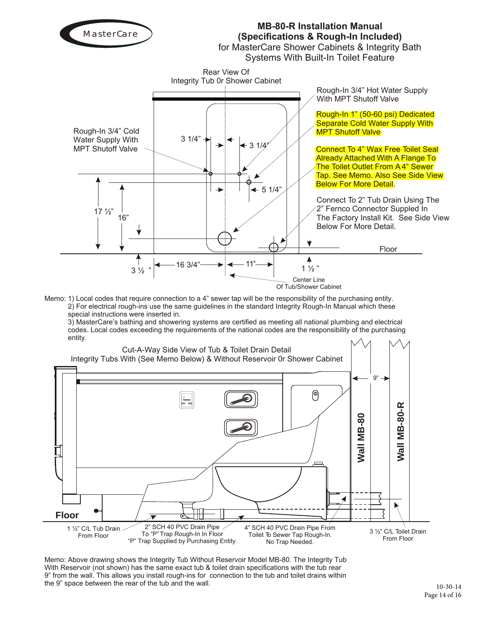

Memo: 1) Local codes that require connection to a 4" sewer tap will be the responsibility of the purchasing entity. 2) For electrical rough-ins use the same guidelines in the standard Integrity Rough-In Manual which these special instructions were inserted in.

3) MasterCare's bathing and showering systems are certified as meeting all national plumbing and electrical codes. Local codes exceeding the requirements of the national codes are the responsibility of the purchasing entity.



Memo: Above drawing shows the Integrity Tub Without Reservoir Model MB-80. The Integrity Tub With Reservoir (not shown) has the same exact tub & toilet drain specifications with the tub rear 9" from the wall. This allows you install rough-ins for connection to the tub and toilet drains within the 9" space between the rear of the tub and the wall.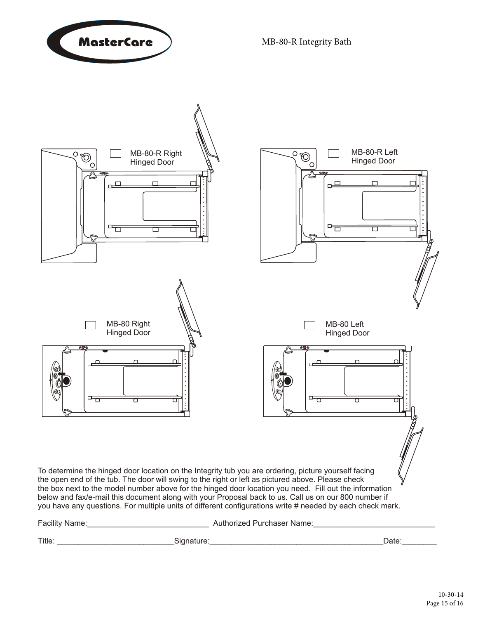



Title: \_\_\_\_\_\_\_\_\_\_\_\_\_\_\_\_\_\_\_\_\_\_\_\_\_\_\_Signature:\_\_\_\_\_\_\_\_\_\_\_\_\_\_\_\_\_\_\_\_\_\_\_\_\_\_\_\_\_\_\_\_\_\_\_\_\_\_\_\_Date:\_\_\_\_\_\_\_\_